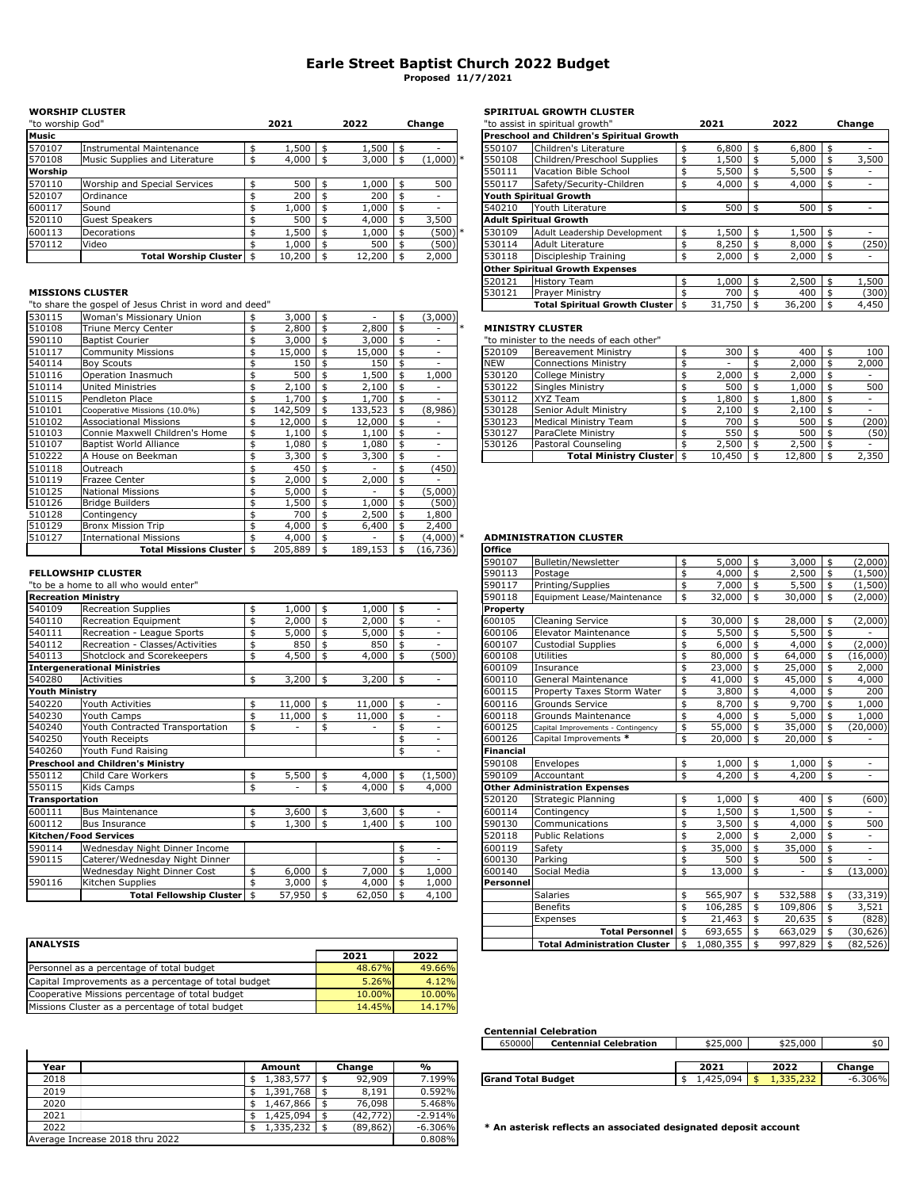# **Earle Street Baptist Church 2022 Budget Proposed 11/7/2021**

## **WORSHIP CLUSTER SPIRITUAL GROWTH CLUSTER**

| "to worship God" |                               | 2021   | 2022   | Change     |        | "to assist in spiritual growth"           | 2021  | 2022  | Change |
|------------------|-------------------------------|--------|--------|------------|--------|-------------------------------------------|-------|-------|--------|
| <b>Music</b>     |                               |        |        |            |        | Preschool and Children's Spiritual Growth |       |       |        |
| 570107           | Instrumental Maintenance      | .500   | 1,500  |            | 550107 | Children's Literature                     | 6,800 | 6,800 |        |
| 570108           | Music Supplies and Literature | 4,000  | 3,000  | $(1,000)*$ | 550108 | Children/Preschool Supplies               | 1,500 | 5,000 | 3,500  |
| Worship          |                               |        |        |            | 550111 | Vacation Bible School                     | 5,500 | 5,500 |        |
| 570110           | Worship and Special Services  | 500    | 1,000  | 500        | 550117 | Safety/Security-Children                  | 4,000 | 4,000 |        |
| 520107           | Ordinance                     | 200    | 200    |            |        | <b>Youth Spiritual Growth</b>             |       |       |        |
| 600117           | Sound                         | 1.000  | 1,000  |            | 540210 | Youth Literature                          | 500   | 500   |        |
| 520110           | <b>Guest Speakers</b>         | 500    | 4,000  | 3,500      |        | <b>Adult Spiritual Growth</b>             |       |       |        |
| 600113           | Decorations                   | 1,500  | 1,000  | (500)      | 530109 | Adult Leadership Development              | 1,500 | 1,500 |        |
| 570112           | Video                         | 000,   | 500    | (500)      | 530114 | Adult Literature                          | 8,250 | 8,000 | (250)  |
|                  | Total Worship Cluster   \$    | 10,200 | 12,200 | 2.000      | 530118 | Discipleship Training                     | 2,000 | 2,000 |        |

### **MISSIONS CLUSTER**

"to share the gospel of Jesus Christ in word and deed"

| 530115 | Woman's Missionary Union       | $3,000$ \$ | $\overline{\phantom{a}}$ | - \$ | (3,000)                  |               |                                          |     |                          |     |        |       |
|--------|--------------------------------|------------|--------------------------|------|--------------------------|---------------|------------------------------------------|-----|--------------------------|-----|--------|-------|
| 510108 | <b>Triune Mercy Center</b>     | 2,800      | 2,800                    |      |                          |               | <b>MINISTRY CLUSTER</b>                  |     |                          |     |        |       |
| 590110 | <b>Baptist Courier</b>         | 3,000      | 3,000                    | \$   | $\overline{\phantom{a}}$ |               | "to minister to the needs of each other" |     |                          |     |        |       |
| 510117 | <b>Community Missions</b>      | 15,000     | 15,000                   |      |                          | 520109        | <b>Bereavement Ministry</b>              | \$  | 300                      | \$  | 400    | 100   |
| 540114 | <b>Boy Scouts</b>              | 150        | 150                      |      |                          | <b>NEW</b>    | <b>Connections Ministry</b>              |     | $\overline{\phantom{a}}$ |     | 2,000  | 2,000 |
| 510116 | Operation Inasmuch             | 500        | 1,500                    |      | 1,000                    | 530120        | College Ministry                         |     | 2,000                    |     | 2,000  |       |
| 510114 | <b>United Ministries</b>       | 2,100      | 2,100                    |      |                          | 530122        | <b>Singles Ministry</b>                  |     | 500                      |     | 1,000  | 500   |
| 510115 | Pendleton Place                | 1,700      | 1,700                    |      |                          | 530112        | XYZ Team                                 |     | 1,800                    |     | 1,800  |       |
| 510101 | Cooperative Missions (10.0%)   | 142,509    | 133,523                  |      | (8,986)                  | 530128        | Senior Adult Ministry                    |     | 2,100                    |     | 2,100  | н.,   |
| 510102 | <b>Associational Missions</b>  | 12,000     | 12,000                   |      |                          | 530123        | <b>Medical Ministry Team</b>             |     | 700                      |     | 500    | (200) |
| 510103 | Connie Maxwell Children's Home | L,100      | 1,100                    |      |                          | 530127        | ParaClete Ministry                       |     | 550                      |     | 500    | (50)  |
| 510107 | Baptist World Alliance         | 1,080      | 1,080                    |      |                          | 530126        | Pastoral Counseling                      |     | 2,500                    |     | 2,500  |       |
| 510222 | A House on Beekman             | 3,300      | 3,300                    |      |                          |               | <b>Total Ministry Cluster</b>            | -\$ | 10,450                   | -\$ | 12,800 | 2,350 |
| 510118 | Outreach                       | 450        |                          |      | (450)                    |               |                                          |     |                          |     |        |       |
| 510119 | Frazee Center                  | 2,000      | 2,000                    |      |                          |               |                                          |     |                          |     |        |       |
| 510125 | <b>National Missions</b>       | 5,000      | $\overline{\phantom{a}}$ |      | (5,000)                  |               |                                          |     |                          |     |        |       |
| 510126 | <b>Bridge Builders</b>         | 1,500      | 1.000                    |      | (500)                    |               |                                          |     |                          |     |        |       |
| 510128 | Contingency                    | 700        | 2,500                    |      | .,800                    |               |                                          |     |                          |     |        |       |
| 510129 | <b>Bronx Mission Trip</b>      | 4,000      | 6,400                    |      | 2,400                    |               |                                          |     |                          |     |        |       |
| 510127 | <b>International Missions</b>  | 4,000      | $\sim$                   |      | (4,000)                  |               | <b>ADMINISTRATION CLUSTER</b>            |     |                          |     |        |       |
|        | Total Missions Cluster         | 205,889    | 189,153                  |      | (16, 736)                | <b>Office</b> |                                          |     |                          |     |        |       |
|        |                                |            |                          |      |                          |               |                                          |     |                          |     |        |       |

### **FELLOWSHIP CLUSTER**

"to be a home to all who would enter"

| <b>Recreation Ministry</b> |                                          |    |        |              |               | 590118           | Equipment Lease/Maintenance          | \$<br>32,000  | \$<br>30,000  | \$<br>(2,000)            |
|----------------------------|------------------------------------------|----|--------|--------------|---------------|------------------|--------------------------------------|---------------|---------------|--------------------------|
| 540109                     | <b>Recreation Supplies</b>               | ፍ  | 1,000  | \$<br>1,000  | \$<br>٠       | Property         |                                      |               |               |                          |
| 540110                     | Recreation Equipment                     |    | 2,000  | \$<br>2,000  | \$            | 600105           | <b>Cleaning Service</b>              | \$<br>30,000  | \$<br>28,000  | (2,000)                  |
| 540111                     | Recreation - League Sports               |    | 5,000  | 5,000        | \$<br>٠       | 600106           | Elevator Maintenance                 | 5,500         | \$<br>5,500   |                          |
| 540112                     | Recreation - Classes/Activities          |    | 850    | 850          |               | 600107           | <b>Custodial Supplies</b>            | 6,000         | \$<br>4,000   | (2,000)                  |
| 540113                     | Shotclock and Scorekeepers               |    | 4,500  | 4,000        | (500)         | 600108           | Utilities                            | 80,000        | \$<br>64,000  | (16,000)                 |
|                            | <b>Intergenerational Ministries</b>      |    |        |              |               | 600109           | Insurance                            | \$<br>23,000  | \$<br>25,000  | 2,000                    |
| 540280                     | Activities                               |    | 3,200  | \$<br>3,200  | \$            | 600110           | General Maintenance                  | \$<br>41,000  | \$<br>45,000  | 4,000                    |
| <b>Youth Ministry</b>      |                                          |    |        |              |               | 600115           | Property Taxes Storm Water           | \$<br>3,800   | \$<br>4,000   | 200                      |
| 540220                     | Youth Activities                         |    | 11,000 | \$<br>11,000 | \$<br>٠       | 600116           | Grounds Service                      | 8,700         | \$<br>9,700   | 1,000                    |
| 540230                     | Youth Camps                              |    | 11,000 | 11,000       | \$            | 600118           | Grounds Maintenance                  | 4,000         | \$<br>5,000   | 1,000                    |
| 540240                     | Youth Contracted Transportation          |    |        |              |               | 600125           | Capital Improvements - Contingency   | 55,000        | 35,000        | (20,000)                 |
| 540250                     | Youth Receipts                           |    |        |              | \$<br>٠       | 600126           | Capital Improvements *               | \$<br>20,000  | \$<br>20,000  |                          |
| 540260                     | Youth Fund Raising                       |    |        |              | \$            | <b>Financial</b> |                                      |               |               |                          |
|                            | <b>Preschool and Children's Ministry</b> |    |        |              |               | 590108           | Envelopes                            | \$<br>1,000   | \$<br>1,000   | \$                       |
| 550112                     | Child Care Workers                       | \$ | 5,500  | \$<br>4,000  | \$<br>(1,500) | 590109           | Accountant                           | \$<br>4,200   | \$<br>4,200   | \$<br>$\sim$             |
| 550115                     | Kids Camps                               | \$ |        | 4,000        | \$<br>4,000   |                  | <b>Other Administration Expenses</b> |               |               |                          |
| Transportation             |                                          |    |        |              |               | 520120           | Strategic Planning                   | \$<br>1,000   | \$<br>400     | \$<br>(600)              |
| 600111                     | <b>Bus Maintenance</b>                   |    | 3,600  | \$<br>3,600  | \$<br>۰.      | 600114           | Contingency                          | \$<br>1,500   | \$<br>1,500   |                          |
| 600112                     | <b>Bus Insurance</b>                     |    | 1,300  | ,400         | \$<br>100     | 590130           | Communications                       | 3,500         | \$<br>4,000   | 500                      |
|                            | <b>Kitchen/Food Services</b>             |    |        |              |               | 520118           | <b>Public Relations</b>              | 2,000         | \$<br>2,000   |                          |
| 590114                     | Wednesday Night Dinner Income            |    |        |              | \$            | 600119           | Safety                               | \$<br>35,000  | 35,000        | $\overline{\phantom{a}}$ |
| 590115                     | Caterer/Wednesday Night Dinner           |    |        |              |               | 600130           | Parking                              | 500           | 500           |                          |
|                            | Wednesday Night Dinner Cost              |    | 6,000  | 7,000        | L,000         | 600140           | Social Media                         | \$<br>13,000  | \$<br>۰       | (13,000)                 |
| 590116                     | Kitchen Supplies                         |    | 3,000  | 4,000        | 1,000         | Personnel        |                                      |               |               |                          |
|                            | <b>Total Fellowship Cluster</b>          |    | 57,950 | 62,050       | 4,100         |                  | Salaries                             | \$<br>565,907 | \$<br>532,588 | (33, 319)                |
|                            |                                          |    |        |              |               |                  |                                      |               |               |                          |

| <b>ANALYSIS</b>                                      |        |        |  | <b>Total Administration Cluster</b> | 1.080.355 | 997,829 | (82.526) |
|------------------------------------------------------|--------|--------|--|-------------------------------------|-----------|---------|----------|
|                                                      | 2021   | 2022   |  |                                     |           |         |          |
| Personnel as a percentage of total budget            | 48.67% | 49.66% |  |                                     |           |         |          |
| Capital Improvements as a percentage of total budget | 5.26%  | 4.12%  |  |                                     |           |         |          |
| Cooperative Missions percentage of total budget      | 10.00% | 10.00% |  |                                     |           |         |          |
| Missions Cluster as a percentage of total budget     | 14.45% | 14.17% |  |                                     |           |         |          |

| Maintenance                  | .500   | 500,   | $\overline{\phantom{a}}$ | 550107 | Children's Literature                  | 6,800  | 6,800  |       |
|------------------------------|--------|--------|--------------------------|--------|----------------------------------------|--------|--------|-------|
| s and Literature             | 4,000  | 3,000  | $(1,000)*$               | 550108 | Children/Preschool Supplies            | 1,500  | 5,000  | 3,500 |
|                              |        |        |                          | 550111 | Vacation Bible School                  | 5,500  | 5,500  |       |
| <b>Special Services</b>      | 500    | 1,000  | 500                      | 550117 | Safety/Security-Children               | 4,000  | 4,000  |       |
|                              | 200    | 200    |                          |        | Youth Spiritual Growth                 |        |        |       |
|                              | 1.000  | 1.000  |                          | 540210 | Youth Literature                       | 500    | 500    |       |
| ers                          | 500    | 4,000  | 3,500                    |        | Adult Spiritual Growth                 |        |        |       |
|                              | 1.500  | 1.000  | (500)                    | 530109 | Adult Leadership Development           | 1,500  | 1,500  |       |
|                              | .000   | 500    | (500)                    | 530114 | Adult Literature                       | 8,250  | 8,000  | (250) |
| <b>Total Worship Cluster</b> | 10,200 | 12,200 | 2,000                    | 530118 | Discipleship Training                  | 2,000  | 2,000  |       |
|                              |        |        |                          |        | <b>Other Spiritual Growth Expenses</b> |        |        |       |
|                              |        |        |                          | 520121 | <b>History Team</b>                    | 1,000  | 2,500  | 1,500 |
|                              |        |        |                          | 530121 | <b>Praver Ministry</b>                 | 700    | 400    | (300) |
| sus Christ in word and deed" |        |        |                          |        | <b>Total Spiritual Growth Cluster</b>  | 31,750 | 36,200 | 4,450 |
|                              |        |        |                          |        |                                        |        |        |       |

### 510108 Triune Mercy Center 2,800 \$ 2,800 \$ - \$ \* **MINISTRY CLUSTER**

| 520109     | <b>Bereavement Ministry</b>  | 300         | \$<br>400   | \$ | 100   |
|------------|------------------------------|-------------|-------------|----|-------|
| <b>NEW</b> | <b>Connections Ministry</b>  |             | 2,000       | \$ | 2,000 |
| 530120     | <b>College Ministry</b>      | 2,000       | \$<br>2,000 | \$ |       |
| 530122     | <b>Singles Ministry</b>      | 500         | \$<br>1,000 | \$ | 500   |
| 530112     | XYZ Team                     | 1,800       | \$<br>1,800 | \$ |       |
| 530128     | Senior Adult Ministry        | \$<br>2,100 | \$<br>2,100 | \$ |       |
| 530123     | <b>Medical Ministry Team</b> | 700         | \$<br>500   | \$ | (200) |
| 530127     | ParaClete Ministry           | 550         | \$<br>500   | \$ | (50)  |
| 530126     | Pastoral Counseling          | 2,500       | \$<br>2,500 | \$ |       |
|            | Total Ministry Cluster \$    | 10,450      | 12,800      | ፍ  | 2,350 |

## 510127 International Missions 4,000 \$ - \$ (4,000) \$ \* **ADMINISTRATION CLUSTER**

| <b>Total Missions Cluster   \$</b> | $205,889$ \$ |                |            |               | $189,153 \mid \frac{2}{3} \quad (16,736)$ | <b>Office</b>    |                                                         |               |               |         |                         |           |
|------------------------------------|--------------|----------------|------------|---------------|-------------------------------------------|------------------|---------------------------------------------------------|---------------|---------------|---------|-------------------------|-----------|
|                                    |              |                |            |               |                                           | 590107           | Bulletin/Newsletter                                     | \$<br>5,000   | \$            | 3,000   | \$                      | (2,000)   |
| <b>IP CLUSTER</b>                  |              |                |            |               |                                           | 590113           | Postage                                                 | \$<br>4,000   | \$            | 2,500   | $\mathfrak{s}$          | (1.500)   |
| ne to all who would enter"         |              |                |            |               |                                           | 590117           | Printing/Supplies                                       | \$<br>7,000   | \$            | 5,500   | \$                      | (1,500)   |
| Ministry                           |              |                |            |               |                                           | 590118           | Equipment Lease/Maintenance                             | \$<br>32,000  | \$            | 30,000  | $\overline{\mathbf{5}}$ | (2,000)   |
| <b>Recreation Supplies</b>         | \$<br>1,000  | \$             | 1,000      | $\mathsf{\$}$ | $\overline{\phantom{0}}$                  | Property         |                                                         |               |               |         |                         |           |
| Recreation Equipment               | \$<br>2,000  | $\frac{4}{3}$  | 2,000      | $\vert$ \$    |                                           | 600105           | Cleaning Service                                        | \$<br>30,000  | \$            | 28,000  | \$                      | (2,000)   |
| Recreation - League Sports         | \$<br>5,000  | \$             | 5,000      | ا \$          | ٠.                                        | 600106           | <b>Elevator Maintenance</b>                             | \$<br>5,500   | \$            | 5,500   | $\overline{\mathbf{5}}$ |           |
| Recreation - Classes/Activities    | \$<br>850    | \$             | 850        | \$            | $\sim$                                    | 600107           | <b>Custodial Supplies</b>                               | \$<br>6,000   | \$            | 4,000   | \$                      | (2,000)   |
| Shotclock and Scorekeepers         | \$<br>4,500  | \$             | 4,000      | \$            | (500)                                     | 600108           | Utilities                                               | \$<br>80,000  | \$            | 64,000  | \$                      | (16,000)  |
| tional Ministries                  |              |                |            |               |                                           | 600109           | Insurance                                               | \$<br>23,000  | \$            | 25,000  | \$                      | 2,000     |
| <b>Activities</b>                  | \$<br>3,200  | \$             | 3,200      | $\mathsf{\$}$ |                                           | 600110           | General Maintenance                                     | \$<br>41,000  | $\frac{4}{3}$ | 45,000  | \$                      | 4,000     |
| try                                |              |                |            |               |                                           | 600115           | Property Taxes Storm Water                              | \$<br>3,800   | \$            | 4,000   | $\mathfrak{s}$          | 200       |
| Youth Activities                   | \$<br>11,000 | $\mathfrak{s}$ | 11,000     | \$            | $\sim$                                    | 600116           | <b>Grounds Service</b>                                  | \$<br>8.700   | \$            | 9,700   | \$                      | 1,000     |
| Youth Camps                        | \$<br>11,000 | \$             | 11,000     | $\frac{4}{3}$ | $\sim$                                    | 600118           | Grounds Maintenance                                     | \$<br>4,000   | \$            | 5,000   | \$                      | 1,000     |
| Youth Contracted Transportation    | \$           | \$             |            | \$            |                                           | 600125           | Capital Improvements - Contingency                      | \$<br>55,000  | \$            | 35,000  | \$                      | (20,000)  |
| Youth Receipts                     |              |                |            | \$            |                                           | 600126           | Capital Improvements *                                  | \$<br>20,000  | \$            | 20,000  | \$                      |           |
| Youth Fund Raising                 |              |                |            | \$            | $\sim$                                    | <b>Financial</b> |                                                         |               |               |         |                         |           |
| nd Children's Ministry             |              |                |            |               |                                           | 590108           | Envelopes                                               | \$<br>1,000   | \$            | 1,000   | \$                      | $\sim$    |
| Child Care Workers                 | \$<br>5,500  | \$             | 4,000      | ا \$          | (1,500)                                   | 590109           | Accountant                                              | \$<br>4,200   | \$            | 4,200   | $\mathbf{\hat{S}}$      | $\sim$    |
| Kids Camps                         | \$           | \$             | 4,000      | $\mathsf{\$}$ | 4,000                                     |                  | <b>Other Administration Expenses</b>                    |               |               |         |                         |           |
| ion:                               |              |                |            |               |                                           | 520120           | <b>Strategic Planning</b>                               | \$<br>1,000   | \$            | 400     | \$                      | (600)     |
| <b>Bus Maintenance</b>             | \$<br>3,600  | \$             | 3,600      | $\vert$ \$    |                                           | 600114           | Contingency                                             | \$<br>1,500   | \$            | 1,500   | \$                      |           |
| <b>Bus Insurance</b>               | \$<br>1,300  | $\mathfrak{s}$ | 1,400      | $\vert$ \$    | 100                                       | 590130           | Communications                                          | \$<br>3,500   | $\sqrt{5}$    | 4,000   | $\mathfrak{s}$          | 500       |
| <b>od Services</b>                 |              |                |            |               |                                           | 520118           | <b>Public Relations</b>                                 | \$<br>2,000   | \$            | 2,000   | \$                      |           |
| Wednesday Night Dinner Income      |              |                |            | \$            | $\sim$                                    | 600119           | Safety                                                  | \$<br>35,000  | \$            | 35,000  | \$                      | $\sim$    |
| Caterer/Wednesday Night Dinner     |              |                |            | \$            | $\sim$                                    | 600130           | Parking                                                 | \$<br>500     | \$            | 500     | $\frac{4}{3}$           |           |
| Wednesday Night Dinner Cost        | \$<br>6,000  | \$             | 7,000      | ∣\$           | 1,000                                     | 600140           | Social Media                                            | \$<br>13,000  | \$            |         | \$                      | (13,000)  |
| Kitchen Supplies                   | \$<br>3,000  | \$             | $4,000$ \$ |               | 1,000                                     | Personnel        |                                                         |               |               |         |                         |           |
| <b>Total Fellowship Cluster</b>    | \$<br>57,950 | \$             | 62,050     | $\vert$ \$    | 4,100                                     |                  | Salaries                                                | \$<br>565,907 | \$            | 532,588 | \$                      | (33, 319) |
|                                    |              |                |            |               |                                           |                  | <b>Benefits</b>                                         | \$<br>106,285 | \$            | 109,806 | \$                      | 3,521     |
|                                    |              |                |            |               |                                           |                  | Expenses                                                | \$<br>21,463  | \$            | 20,635  | \$                      | (828)     |
|                                    |              |                |            |               |                                           |                  | <b>Total Personnel</b>                                  | \$<br>693,655 | \$            | 663,029 |                         | (30, 626) |
|                                    |              |                |            |               |                                           |                  | Total Administration Cluster $\frac{1}{2}$ \$ 1.080.355 |               | ¢             | 997 829 | $\ddot{\bm{\tau}}$      | (8252)    |

## **Centennial Celebration**

|      |           |        |               | 650000                    | <b>Centennial Celebration</b> | \$25,000 | \$25,000             | \$0          |
|------|-----------|--------|---------------|---------------------------|-------------------------------|----------|----------------------|--------------|
|      |           |        |               |                           |                               |          |                      |              |
| Year | Amount    | Change | $\frac{1}{2}$ |                           |                               | 2021     | 2022                 | Change       |
| 2018 | 1,383,577 | 92,909 | 7.199%        | <b>Grand Total Budget</b> |                               | ,425,094 | $-2252$<br>1.335.232 | 6.306%<br>-n |

| Year                            | Amount    | Change    | %         |                                                                 | 2021      | 2022     |
|---------------------------------|-----------|-----------|-----------|-----------------------------------------------------------------|-----------|----------|
| 2018                            | .383.577  | 92,909    | 7.199%    | <b>Grand Total Budget</b>                                       | 1,425,094 | , 335, 2 |
| 2019                            | .391.768  | 8.191     | 0.592%    |                                                                 |           |          |
| 2020                            | .467.866  | 76.098    | 5.468%    |                                                                 |           |          |
| 2021                            | 425,094   | (42, 772) | $-2.914%$ |                                                                 |           |          |
| 2022                            | 1.335.232 | (89, 862) | $-6.306%$ | * An asterisk reflects an associated designated deposit account |           |          |
| Average Increase 2018 thru 2022 |           |           | 0.808%    |                                                                 |           |          |